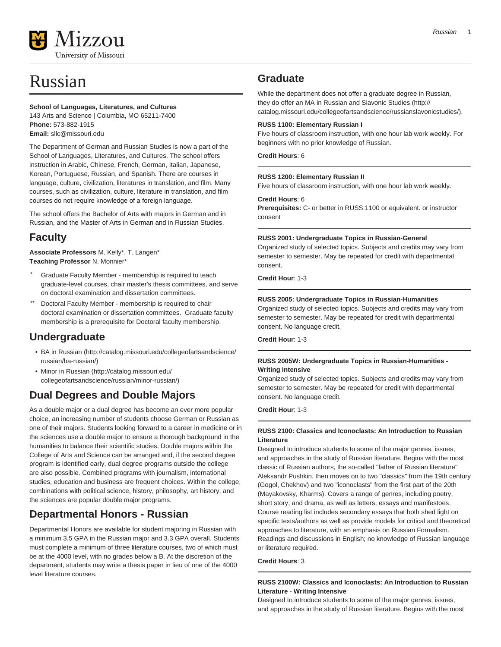

# Russian

#### **School of Languages, Literatures, and Cultures**

143 Arts and Science | Columbia, MO 65211-7400 **Phone:** 573-882-1915 **Email:** [sllc@missouri.edu](mailto:sllc@missouri.edu)

The Department of German and Russian Studies is now a part of the School of Languages, Literatures, and Cultures. The school offers instruction in Arabic, Chinese, French, German, Italian, Japanese, Korean, Portuguese, Russian, and Spanish. There are courses in language, culture, civilization, literatures in translation, and film. Many courses, such as civilization, culture, literature in translation, and film courses do not require knowledge of a foreign language.

The school offers the Bachelor of Arts with majors in German and in Russian, and the Master of Arts in German and in Russian Studies.

### **Faculty**

**Associate Professors** M. Kelly\*, T. Langen\* **Teaching Professor** N. Monnier\*

- Graduate Faculty Member membership is required to teach graduate-level courses, chair master's thesis committees, and serve on doctoral examination and dissertation committees.
- Doctoral Faculty Member membership is required to chair doctoral examination or dissertation committees. Graduate faculty membership is a prerequisite for Doctoral faculty membership.

### **Undergraduate**

- [BA in Russian](http://catalog.missouri.edu/collegeofartsandscience/russian/ba-russian/) [\(http://catalog.missouri.edu/collegeofartsandscience/](http://catalog.missouri.edu/collegeofartsandscience/russian/ba-russian/) [russian/ba-russian/\)](http://catalog.missouri.edu/collegeofartsandscience/russian/ba-russian/)
- [Minor in Russian \(http://catalog.missouri.edu/](http://catalog.missouri.edu/collegeofartsandscience/russian/minor-russian/) [collegeofartsandscience/russian/minor-russian/\)](http://catalog.missouri.edu/collegeofartsandscience/russian/minor-russian/)

## **Dual Degrees and Double Majors**

As a double major or a dual degree has become an ever more popular choice, an increasing number of students choose German or Russian as one of their majors. Students looking forward to a career in medicine or in the sciences use a double major to ensure a thorough background in the humanities to balance their scientific studies. Double majors within the College of Arts and Science can be arranged and, if the second degree program is identified early, dual degree programs outside the college are also possible. Combined programs with journalism, international studies, education and business are frequent choices. Within the college, combinations with political science, history, philosophy, art history, and the sciences are popular double major programs.

## **Departmental Honors - Russian**

Departmental Honors are available for student majoring in Russian with a minimum 3.5 GPA in the Russian major and 3.3 GPA overall. Students must complete a minimum of three literature courses, two of which must be at the 4000 level, with no grades below a B. At the discretion of the department, students may write a thesis paper in lieu of one of the 4000 level literature courses.

### **Graduate**

While the department does not offer a graduate degree in Russian, they do offer an [MA in Russian and Slavonic Studies](http://catalog.missouri.edu/collegeofartsandscience/russianslavonicstudies/) [\(http://](http://catalog.missouri.edu/collegeofartsandscience/russianslavonicstudies/) [catalog.missouri.edu/collegeofartsandscience/russianslavonicstudies/\)](http://catalog.missouri.edu/collegeofartsandscience/russianslavonicstudies/).

#### **RUSS 1100: Elementary Russian I**

Five hours of classroom instruction, with one hour lab work weekly. For beginners with no prior knowledge of Russian.

**Credit Hours**: 6

#### **RUSS 1200: Elementary Russian II**

Five hours of classroom instruction, with one hour lab work weekly.

#### **Credit Hours**: 6

**Prerequisites:** C- or better in RUSS 1100 or equivalent. or instructor consent

#### **RUSS 2001: Undergraduate Topics in Russian-General**

Organized study of selected topics. Subjects and credits may vary from semester to semester. May be repeated for credit with departmental consent.

**Credit Hour**: 1-3

#### **RUSS 2005: Undergraduate Topics in Russian-Humanities**

Organized study of selected topics. Subjects and credits may vary from semester to semester. May be repeated for credit with departmental consent. No language credit.

**Credit Hour**: 1-3

#### **RUSS 2005W: Undergraduate Topics in Russian-Humanities - Writing Intensive**

Organized study of selected topics. Subjects and credits may vary from semester to semester. May be repeated for credit with departmental consent. No language credit.

**Credit Hour**: 1-3

#### **RUSS 2100: Classics and Iconoclasts: An Introduction to Russian Literature**

Designed to introduce students to some of the major genres, issues, and approaches in the study of Russian literature. Begins with the most classic of Russian authors, the so-called "father of Russian literature" Aleksandr Pushkin, then moves on to two "classics" from the 19th century (Gogol, Chekhov) and two "iconoclasts" from the first part of the 20th (Mayakovsky, Kharms). Covers a range of genres, including poetry, short story, and drama, as well as letters, essays and manifestoes. Course reading list includes secondary essays that both shed light on specific texts/authors as well as provide models for critical and theoretical approaches to literature, with an emphasis on Russian Formalism. Readings and discussions in English; no knowledge of Russian language or literature required.

**Credit Hours**: 3

#### **RUSS 2100W: Classics and Iconoclasts: An Introduction to Russian Literature - Writing Intensive**

Designed to introduce students to some of the major genres, issues, and approaches in the study of Russian literature. Begins with the most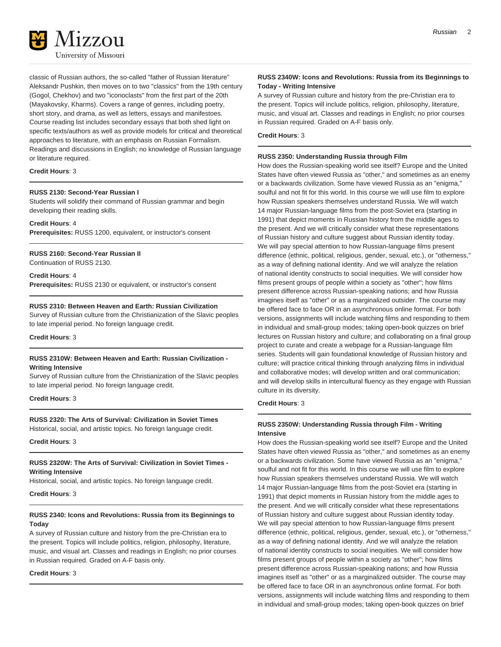

classic of Russian authors, the so-called "father of Russian literature" Aleksandr Pushkin, then moves on to two "classics" from the 19th century (Gogol, Chekhov) and two "iconoclasts" from the first part of the 20th (Mayakovsky, Kharms). Covers a range of genres, including poetry, short story, and drama, as well as letters, essays and manifestoes. Course reading list includes secondary essays that both shed light on specific texts/authors as well as provide models for critical and theoretical approaches to literature, with an emphasis on Russian Formalism. Readings and discussions in English; no knowledge of Russian language or literature required.

#### **Credit Hours**: 3

#### **RUSS 2130: Second-Year Russian I**

Students will solidify their command of Russian grammar and begin developing their reading skills.

**Credit Hours**: 4 **Prerequisites:** RUSS 1200, equivalent, or instructor's consent

#### **RUSS 2160: Second-Year Russian II**

Continuation of RUSS 2130.

**Credit Hours**: 4 **Prerequisites:** RUSS 2130 or equivalent, or instructor's consent

#### **RUSS 2310: Between Heaven and Earth: Russian Civilization**

Survey of Russian culture from the Christianization of the Slavic peoples to late imperial period. No foreign language credit.

**Credit Hours**: 3

#### **RUSS 2310W: Between Heaven and Earth: Russian Civilization - Writing Intensive**

Survey of Russian culture from the Christianization of the Slavic peoples to late imperial period. No foreign language credit.

#### **Credit Hours**: 3

**RUSS 2320: The Arts of Survival: Civilization in Soviet Times** Historical, social, and artistic topics. No foreign language credit.

**Credit Hours**: 3

#### **RUSS 2320W: The Arts of Survival: Civilization in Soviet Times - Writing Intensive**

Historical, social, and artistic topics. No foreign language credit.

#### **Credit Hours**: 3

#### **RUSS 2340: Icons and Revolutions: Russia from its Beginnings to Today**

A survey of Russian culture and history from the pre-Christian era to the present. Topics will include politics, religion, philosophy, literature, music, and visual art. Classes and readings in English; no prior courses in Russian required. Graded on A-F basis only.

#### **Credit Hours**: 3

#### **RUSS 2340W: Icons and Revolutions: Russia from its Beginnings to Today - Writing Intensive**

A survey of Russian culture and history from the pre-Christian era to the present. Topics will include politics, religion, philosophy, literature, music, and visual art. Classes and readings in English; no prior courses in Russian required. Graded on A-F basis only.

#### **Credit Hours**: 3

#### **RUSS 2350: Understanding Russia through Film**

How does the Russian-speaking world see itself? Europe and the United States have often viewed Russia as "other," and sometimes as an enemy or a backwards civilization. Some have viewed Russia as an "enigma," soulful and not fit for this world. In this course we will use film to explore how Russian speakers themselves understand Russia. We will watch 14 major Russian-language films from the post-Soviet era (starting in 1991) that depict moments in Russian history from the middle ages to the present. And we will critically consider what these representations of Russian history and culture suggest about Russian identity today. We will pay special attention to how Russian-language films present difference (ethnic, political, religious, gender, sexual, etc.), or "otherness," as a way of defining national identity. And we will analyze the relation of national identity constructs to social inequities. We will consider how films present groups of people within a society as "other"; how films present difference across Russian-speaking nations; and how Russia imagines itself as "other" or as a marginalized outsider. The course may be offered face to face OR in an asynchronous online format. For both versions, assignments will include watching films and responding to them in individual and small-group modes; taking open-book quizzes on brief lectures on Russian history and culture; and collaborating on a final group project to curate and create a webpage for a Russian-language film series. Students will gain foundational knowledge of Russian history and culture; will practice critical thinking through analyzing films in individual and collaborative modes; will develop written and oral communication; and will develop skills in intercultural fluency as they engage with Russian culture in its diversity.

#### **Credit Hours**: 3

#### **RUSS 2350W: Understanding Russia through Film - Writing Intensive**

How does the Russian-speaking world see itself? Europe and the United States have often viewed Russia as "other," and sometimes as an enemy or a backwards civilization. Some have viewed Russia as an "enigma," soulful and not fit for this world. In this course we will use film to explore how Russian speakers themselves understand Russia. We will watch 14 major Russian-language films from the post-Soviet era (starting in 1991) that depict moments in Russian history from the middle ages to the present. And we will critically consider what these representations of Russian history and culture suggest about Russian identity today. We will pay special attention to how Russian-language films present difference (ethnic, political, religious, gender, sexual, etc.), or "otherness," as a way of defining national identity. And we will analyze the relation of national identity constructs to social inequities. We will consider how films present groups of people within a society as "other"; how films present difference across Russian-speaking nations; and how Russia imagines itself as "other" or as a marginalized outsider. The course may be offered face to face OR in an asynchronous online format. For both versions, assignments will include watching films and responding to them in individual and small-group modes; taking open-book quizzes on brief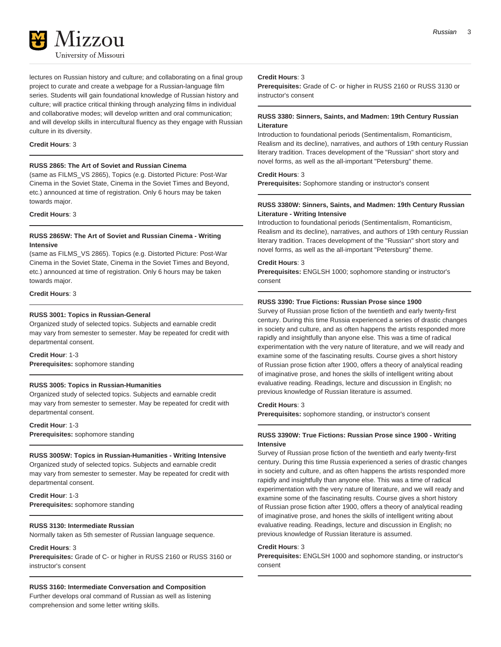

lectures on Russian history and culture; and collaborating on a final group project to curate and create a webpage for a Russian-language film series. Students will gain foundational knowledge of Russian history and culture; will practice critical thinking through analyzing films in individual and collaborative modes; will develop written and oral communication; and will develop skills in intercultural fluency as they engage with Russian culture in its diversity.

#### **Credit Hours**: 3

#### **RUSS 2865: The Art of Soviet and Russian Cinema**

(same as FILMS\_VS 2865), Topics (e.g. Distorted Picture: Post-War Cinema in the Soviet State, Cinema in the Soviet Times and Beyond, etc.) announced at time of registration. Only 6 hours may be taken towards major.

#### **Credit Hours**: 3

#### **RUSS 2865W: The Art of Soviet and Russian Cinema - Writing Intensive**

(same as FILMS\_VS 2865). Topics (e.g. Distorted Picture: Post-War Cinema in the Soviet State, Cinema in the Soviet Times and Beyond, etc.) announced at time of registration. Only 6 hours may be taken towards major.

**Credit Hours**: 3

#### **RUSS 3001: Topics in Russian-General**

Organized study of selected topics. Subjects and earnable credit may vary from semester to semester. May be repeated for credit with departmental consent.

#### **Credit Hour**: 1-3

**Prerequisites:** sophomore standing

#### **RUSS 3005: Topics in Russian-Humanities**

Organized study of selected topics. Subjects and earnable credit may vary from semester to semester. May be repeated for credit with departmental consent.

**Credit Hour**: 1-3 **Prerequisites:** sophomore standing

#### **RUSS 3005W: Topics in Russian-Humanities - Writing Intensive**

Organized study of selected topics. Subjects and earnable credit may vary from semester to semester. May be repeated for credit with departmental consent.

**Credit Hour**: 1-3 **Prerequisites:** sophomore standing

#### **RUSS 3130: Intermediate Russian**

Normally taken as 5th semester of Russian language sequence.

#### **Credit Hours**: 3

**Prerequisites:** Grade of C- or higher in RUSS 2160 or RUSS 3160 or instructor's consent

#### **RUSS 3160: Intermediate Conversation and Composition**

Further develops oral command of Russian as well as listening comprehension and some letter writing skills.

#### **Credit Hours**: 3

**Prerequisites:** Grade of C- or higher in RUSS 2160 or RUSS 3130 or instructor's consent

#### **RUSS 3380: Sinners, Saints, and Madmen: 19th Century Russian Literature**

Introduction to foundational periods (Sentimentalism, Romanticism, Realism and its decline), narratives, and authors of 19th century Russian literary tradition. Traces development of the "Russian" short story and novel forms, as well as the all-important "Petersburg" theme.

#### **Credit Hours**: 3

**Prerequisites:** Sophomore standing or instructor's consent

#### **RUSS 3380W: Sinners, Saints, and Madmen: 19th Century Russian Literature - Writing Intensive**

Introduction to foundational periods (Sentimentalism, Romanticism, Realism and its decline), narratives, and authors of 19th century Russian literary tradition. Traces development of the "Russian" short story and novel forms, as well as the all-important "Petersburg" theme.

#### **Credit Hours**: 3

**Prerequisites:** ENGLSH 1000; sophomore standing or instructor's consent

#### **RUSS 3390: True Fictions: Russian Prose since 1900**

Survey of Russian prose fiction of the twentieth and early twenty-first century. During this time Russia experienced a series of drastic changes in society and culture, and as often happens the artists responded more rapidly and insightfully than anyone else. This was a time of radical experimentation with the very nature of literature, and we will ready and examine some of the fascinating results. Course gives a short history of Russian prose fiction after 1900, offers a theory of analytical reading of imaginative prose, and hones the skills of intelligent writing about evaluative reading. Readings, lecture and discussion in English; no previous knowledge of Russian literature is assumed.

#### **Credit Hours**: 3

**Prerequisites:** sophomore standing, or instructor's consent

#### **RUSS 3390W: True Fictions: Russian Prose since 1900 - Writing Intensive**

Survey of Russian prose fiction of the twentieth and early twenty-first century. During this time Russia experienced a series of drastic changes in society and culture, and as often happens the artists responded more rapidly and insightfully than anyone else. This was a time of radical experimentation with the very nature of literature, and we will ready and examine some of the fascinating results. Course gives a short history of Russian prose fiction after 1900, offers a theory of analytical reading of imaginative prose, and hones the skills of intelligent writing about evaluative reading. Readings, lecture and discussion in English; no previous knowledge of Russian literature is assumed.

#### **Credit Hours**: 3

**Prerequisites:** ENGLSH 1000 and sophomore standing, or instructor's consent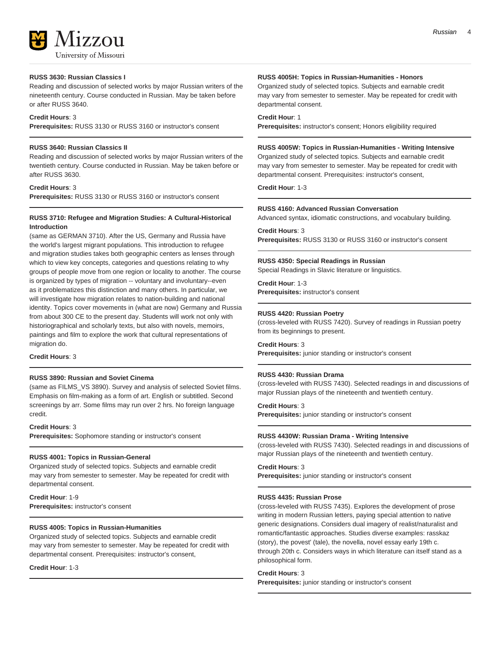

#### **RUSS 3630: Russian Classics I**

Reading and discussion of selected works by major Russian writers of the nineteenth century. Course conducted in Russian. May be taken before or after RUSS 3640.

#### **Credit Hours**: 3

**Prerequisites:** RUSS 3130 or RUSS 3160 or instructor's consent

#### **RUSS 3640: Russian Classics II**

Reading and discussion of selected works by major Russian writers of the twentieth century. Course conducted in Russian. May be taken before or after RUSS 3630.

#### **Credit Hours**: 3

**Prerequisites:** RUSS 3130 or RUSS 3160 or instructor's consent

#### **RUSS 3710: Refugee and Migration Studies: A Cultural-Historical Introduction**

(same as GERMAN 3710). After the US, Germany and Russia have the world's largest migrant populations. This introduction to refugee and migration studies takes both geographic centers as lenses through which to view key concepts, categories and questions relating to why groups of people move from one region or locality to another. The course is organized by types of migration -- voluntary and involuntary--even as it problematizes this distinction and many others. In particular, we will investigate how migration relates to nation-building and national identity. Topics cover movements in (what are now) Germany and Russia from about 300 CE to the present day. Students will work not only with historiographical and scholarly texts, but also with novels, memoirs, paintings and film to explore the work that cultural representations of migration do.

#### **Credit Hours**: 3

#### **RUSS 3890: Russian and Soviet Cinema**

(same as FILMS\_VS 3890). Survey and analysis of selected Soviet films. Emphasis on film-making as a form of art. English or subtitled. Second screenings by arr. Some films may run over 2 hrs. No foreign language credit.

#### **Credit Hours**: 3

**Prerequisites:** Sophomore standing or instructor's consent

#### **RUSS 4001: Topics in Russian-General**

Organized study of selected topics. Subjects and earnable credit may vary from semester to semester. May be repeated for credit with departmental consent.

**Credit Hour**: 1-9 **Prerequisites:** instructor's consent

#### **RUSS 4005: Topics in Russian-Humanities**

Organized study of selected topics. Subjects and earnable credit may vary from semester to semester. May be repeated for credit with departmental consent. Prerequisites: instructor's consent,

**Credit Hour**: 1-3

#### **RUSS 4005H: Topics in Russian-Humanities - Honors**

Organized study of selected topics. Subjects and earnable credit may vary from semester to semester. May be repeated for credit with departmental consent.

#### **Credit Hour**: 1

**Prerequisites:** instructor's consent; Honors eligibility required

#### **RUSS 4005W: Topics in Russian-Humanities - Writing Intensive** Organized study of selected topics. Subjects and earnable credit may vary from semester to semester. May be repeated for credit with departmental consent. Prerequisites: instructor's consent,

**Credit Hour**: 1-3

#### **RUSS 4160: Advanced Russian Conversation**

Advanced syntax, idiomatic constructions, and vocabulary building. **Credit Hours**: 3

**Prerequisites:** RUSS 3130 or RUSS 3160 or instructor's consent

#### **RUSS 4350: Special Readings in Russian**

Special Readings in Slavic literature or linguistics.

**Credit Hour**: 1-3 **Prerequisites:** instructor's consent

#### **RUSS 4420: Russian Poetry**

(cross-leveled with RUSS 7420). Survey of readings in Russian poetry from its beginnings to present.

### **Credit Hours**: 3

**Prerequisites:** junior standing or instructor's consent

#### **RUSS 4430: Russian Drama**

(cross-leveled with RUSS 7430). Selected readings in and discussions of major Russian plays of the nineteenth and twentieth century.

#### **Credit Hours**: 3

**Prerequisites:** junior standing or instructor's consent

#### **RUSS 4430W: Russian Drama - Writing Intensive**

(cross-leveled with RUSS 7430). Selected readings in and discussions of major Russian plays of the nineteenth and twentieth century.

#### **Credit Hours**: 3

**Prerequisites:** junior standing or instructor's consent

#### **RUSS 4435: Russian Prose**

(cross-leveled with RUSS 7435). Explores the development of prose writing in modern Russian letters, paying special attention to native generic designations. Considers dual imagery of realist/naturalist and romantic/fantastic approaches. Studies diverse examples: rasskaz (story), the povest' (tale), the novella, novel essay early 19th c. through 20th c. Considers ways in which literature can itself stand as a philosophical form.

#### **Credit Hours**: 3

**Prerequisites:** junior standing or instructor's consent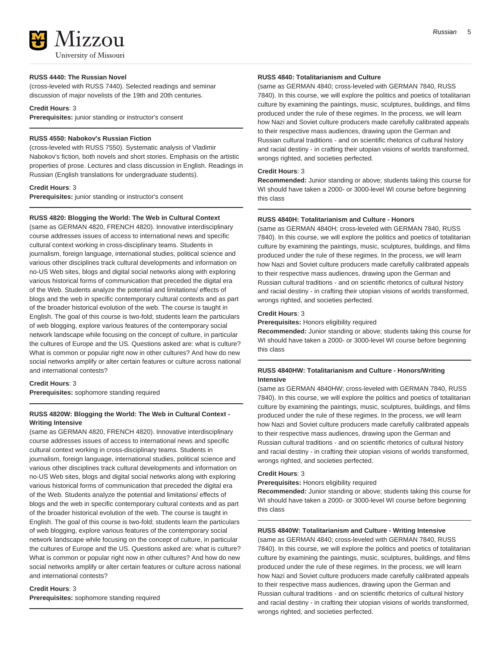Mizzou University of Missouri

#### **RUSS 4440: The Russian Novel**

(cross-leveled with RUSS 7440). Selected readings and seminar discussion of major novelists of the 19th and 20th centuries.

#### **Credit Hours**: 3

**Prerequisites:** junior standing or instructor's consent

#### **RUSS 4550: Nabokov's Russian Fiction**

(cross-leveled with RUSS 7550). Systematic analysis of Vladimir Nabokov's fiction, both novels and short stories. Emphasis on the artistic properties of prose. Lectures and class discussion in English. Readings in Russian (English translations for undergraduate students).

#### **Credit Hours**: 3

**Prerequisites:** junior standing or instructor's consent

#### **RUSS 4820: Blogging the World: The Web in Cultural Context**

(same as GERMAN 4820, FRENCH 4820). Innovative interdisciplinary course addresses issues of access to international news and specific cultural context working in cross-disciplinary teams. Students in journalism, foreign language, international studies, political science and various other disciplines track cultural developments and information on no-US Web sites, blogs and digital social networks along with exploring various historical forms of communication that preceded the digital era of the Web. Students analyze the potential and limitations/ effects of blogs and the web in specific contemporary cultural contexts and as part of the broader historical evolution of the web. The course is taught in English. The goal of this course is two-fold; students learn the particulars of web blogging, explore various features of the contemporary social network landscape while focusing on the concept of culture, in particular the cultures of Europe and the US. Questions asked are: what is culture? What is common or popular right now in other cultures? And how do new social networks amplify or alter certain features or culture across national and international contests?

### **Credit Hours**: 3

**Prerequisites:** sophomore standing required

#### **RUSS 4820W: Blogging the World: The Web in Cultural Context - Writing Intensive**

(same as GERMAN 4820, FRENCH 4820). Innovative interdisciplinary course addresses issues of access to international news and specific cultural context working in cross-disciplinary teams. Students in journalism, foreign language, international studies, political science and various other disciplines track cultural developments and information on no-US Web sites, blogs and digital social networks along with exploring various historical forms of communication that preceded the digital era of the Web. Students analyze the potential and limitations/ effects of blogs and the web in specific contemporary cultural contexts and as part of the broader historical evolution of the web. The course is taught in English. The goal of this course is two-fold; students learn the particulars of web blogging, explore various features of the contemporary social network landscape while focusing on the concept of culture, in particular the cultures of Europe and the US. Questions asked are: what is culture? What is common or popular right now in other cultures? And how do new social networks amplify or alter certain features or culture across national and international contests?

#### **Credit Hours**: 3

**Prerequisites:** sophomore standing required

#### **RUSS 4840: Totalitarianism and Culture**

(same as GERMAN 4840; cross-leveled with GERMAN 7840, RUSS 7840). In this course, we will explore the politics and poetics of totalitarian culture by examining the paintings, music, sculptures, buildings, and films produced under the rule of these regimes. In the process, we will learn how Nazi and Soviet culture producers made carefully calibrated appeals to their respective mass audiences, drawing upon the German and Russian cultural traditions - and on scientific rhetorics of cultural history and racial destiny - in crafting their utopian visions of worlds transformed, wrongs righted, and societies perfected.

#### **Credit Hours**: 3

**Recommended:** Junior standing or above; students taking this course for WI should have taken a 2000- or 3000-level WI course before beginning this class

#### **RUSS 4840H: Totalitarianism and Culture - Honors**

(same as GERMAN 4840H; cross-leveled with GERMAN 7840, RUSS 7840). In this course, we will explore the politics and poetics of totalitarian culture by examining the paintings, music, sculptures, buildings, and films produced under the rule of these regimes. In the process, we will learn how Nazi and Soviet culture producers made carefully calibrated appeals to their respective mass audiences, drawing upon the German and Russian cultural traditions - and on scientific rhetorics of cultural history and racial destiny - in crafting their utopian visions of worlds transformed, wrongs righted, and societies perfected.

#### **Credit Hours**: 3

**Prerequisites:** Honors eligibility required

**Recommended:** Junior standing or above; students taking this course for WI should have taken a 2000- or 3000-level WI course before beginning this class

#### **RUSS 4840HW: Totalitarianism and Culture - Honors/Writing Intensive**

(same as GERMAN 4840HW; cross-leveled with GERMAN 7840, RUSS 7840). In this course, we will explore the politics and poetics of totalitarian culture by examining the paintings, music, sculptures, buildings, and films produced under the rule of these regimes. In the process, we will learn how Nazi and Soviet culture producers made carefully calibrated appeals to their respective mass audiences, drawing upon the German and Russian cultural traditions - and on scientific rhetorics of cultural history and racial destiny - in crafting their utopian visions of worlds transformed, wrongs righted, and societies perfected.

#### **Credit Hours**: 3

**Prerequisites:** Honors eligibility required

**Recommended:** Junior standing or above; students taking this course for WI should have taken a 2000- or 3000-level WI course before beginning this class

#### **RUSS 4840W: Totalitarianism and Culture - Writing Intensive**

(same as GERMAN 4840; cross-leveled with GERMAN 7840, RUSS 7840). In this course, we will explore the politics and poetics of totalitarian culture by examining the paintings, music, sculptures, buildings, and films produced under the rule of these regimes. In the process, we will learn how Nazi and Soviet culture producers made carefully calibrated appeals to their respective mass audiences, drawing upon the German and Russian cultural traditions - and on scientific rhetorics of cultural history and racial destiny - in crafting their utopian visions of worlds transformed, wrongs righted, and societies perfected.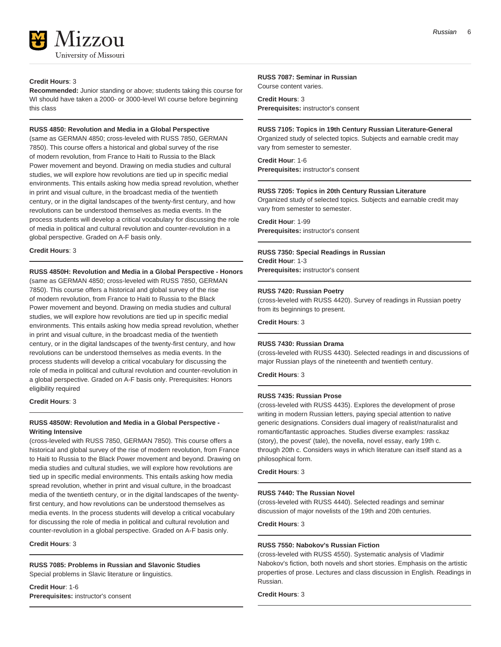

#### **Credit Hours**: 3

**Recommended:** Junior standing or above; students taking this course for WI should have taken a 2000- or 3000-level WI course before beginning this class

#### **RUSS 4850: Revolution and Media in a Global Perspective**

(same as GERMAN 4850; cross-leveled with RUSS 7850, GERMAN 7850). This course offers a historical and global survey of the rise of modern revolution, from France to Haiti to Russia to the Black Power movement and beyond. Drawing on media studies and cultural studies, we will explore how revolutions are tied up in specific medial environments. This entails asking how media spread revolution, whether in print and visual culture, in the broadcast media of the twentieth century, or in the digital landscapes of the twenty-first century, and how revolutions can be understood themselves as media events. In the process students will develop a critical vocabulary for discussing the role of media in political and cultural revolution and counter-revolution in a global perspective. Graded on A-F basis only.

#### **Credit Hours**: 3

#### **RUSS 4850H: Revolution and Media in a Global Perspective - Honors**

(same as GERMAN 4850; cross-leveled with RUSS 7850, GERMAN 7850). This course offers a historical and global survey of the rise of modern revolution, from France to Haiti to Russia to the Black Power movement and beyond. Drawing on media studies and cultural studies, we will explore how revolutions are tied up in specific medial environments. This entails asking how media spread revolution, whether in print and visual culture, in the broadcast media of the twentieth century, or in the digital landscapes of the twenty-first century, and how revolutions can be understood themselves as media events. In the process students will develop a critical vocabulary for discussing the role of media in political and cultural revolution and counter-revolution in a global perspective. Graded on A-F basis only. Prerequisites: Honors eligibility required

**Credit Hours**: 3

#### **RUSS 4850W: Revolution and Media in a Global Perspective - Writing Intensive**

(cross-leveled with RUSS 7850, GERMAN 7850). This course offers a historical and global survey of the rise of modern revolution, from France to Haiti to Russia to the Black Power movement and beyond. Drawing on media studies and cultural studies, we will explore how revolutions are tied up in specific medial environments. This entails asking how media spread revolution, whether in print and visual culture, in the broadcast media of the twentieth century, or in the digital landscapes of the twentyfirst century, and how revolutions can be understood themselves as media events. In the process students will develop a critical vocabulary for discussing the role of media in political and cultural revolution and counter-revolution in a global perspective. Graded on A-F basis only.

**Credit Hours**: 3

**RUSS 7085: Problems in Russian and Slavonic Studies**

Special problems in Slavic literature or linguistics.

**Credit Hour**: 1-6 **Prerequisites:** instructor's consent

### **RUSS 7087: Seminar in Russian**

Course content varies.

**Credit Hours**: 3 **Prerequisites:** instructor's consent

**RUSS 7105: Topics in 19th Century Russian Literature-General** Organized study of selected topics. Subjects and earnable credit may vary from semester to semester.

**Credit Hour**: 1-6 **Prerequisites:** instructor's consent

#### **RUSS 7205: Topics in 20th Century Russian Literature**

Organized study of selected topics. Subjects and earnable credit may vary from semester to semester.

**Credit Hour**: 1-99 **Prerequisites:** instructor's consent

#### **RUSS 7350: Special Readings in Russian**

**Credit Hour**: 1-3 **Prerequisites:** instructor's consent

#### **RUSS 7420: Russian Poetry**

(cross-leveled with RUSS 4420). Survey of readings in Russian poetry from its beginnings to present.

**Credit Hours**: 3

#### **RUSS 7430: Russian Drama**

(cross-leveled with RUSS 4430). Selected readings in and discussions of major Russian plays of the nineteenth and twentieth century.

**Credit Hours**: 3

#### **RUSS 7435: Russian Prose**

(cross-leveled with RUSS 4435). Explores the development of prose writing in modern Russian letters, paying special attention to native generic designations. Considers dual imagery of realist/naturalist and romantic/fantastic approaches. Studies diverse examples: rasskaz (story), the povest' (tale), the novella, novel essay, early 19th c. through 20th c. Considers ways in which literature can itself stand as a philosophical form.

**Credit Hours**: 3

#### **RUSS 7440: The Russian Novel**

(cross-leveled with RUSS 4440). Selected readings and seminar discussion of major novelists of the 19th and 20th centuries.

**Credit Hours**: 3

#### **RUSS 7550: Nabokov's Russian Fiction**

(cross-leveled with RUSS 4550). Systematic analysis of Vladimir Nabokov's fiction, both novels and short stories. Emphasis on the artistic properties of prose. Lectures and class discussion in English. Readings in Russian.

**Credit Hours**: 3